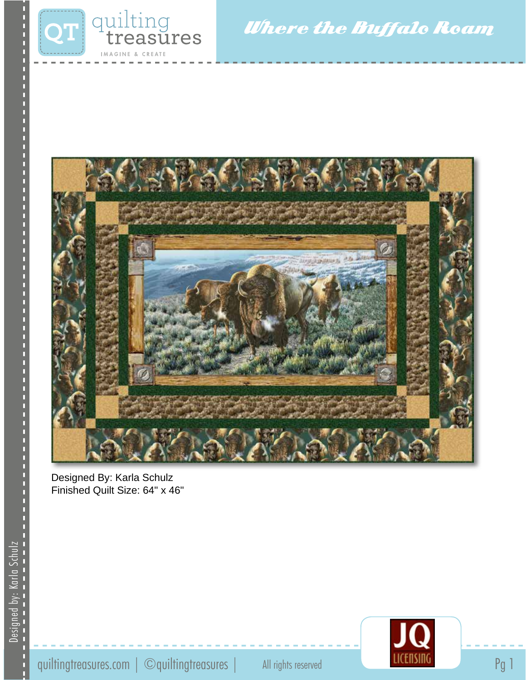

Where the Buffalo Roam



Designed By: Karla Schulz Finished Quilt Size: 64" x 46"

Designed by: Karla Schulz

Designed by: Karla Schulz

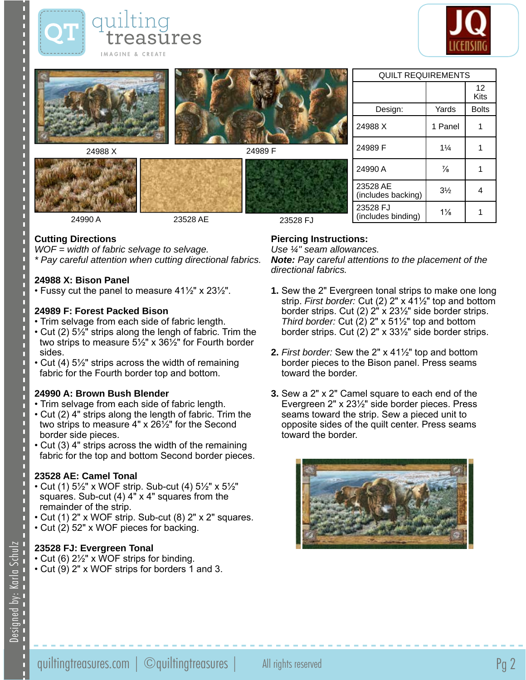



|               |          |          | <b>QUILT REQUIREMENTS</b>      |                |              |
|---------------|----------|----------|--------------------------------|----------------|--------------|
| <b>MISSED</b> |          |          |                                |                | 12<br>Kits   |
|               |          |          | Design:                        | Yards          | <b>Bolts</b> |
|               |          |          | 24988 X                        | 1 Panel        |              |
| 24988 X       |          | 24989 F  | 24989 F                        | $1\frac{1}{4}$ |              |
|               |          |          | 24990 A                        | $\frac{7}{8}$  |              |
|               |          |          | 23528 AE<br>(includes backing) | $3\frac{1}{2}$ | 4            |
| 24990 A       | 23528 AE | 23528 FJ | 23528 FJ<br>(includes binding) | $1\frac{1}{8}$ |              |

#### **Cutting Directions**

*WOF = width of fabric selvage to selvage. \* Pay careful attention when cutting directional fabrics.*

### **24988 X: Bison Panel**

• Fussy cut the panel to measure 41½" x 23½".

#### **24989 F: Forest Packed Bison**

- Trim selvage from each side of fabric length.
- Cut (2) 5½" strips along the lengh of fabric. Trim the two strips to measure 5½" x 36½" for Fourth border sides.
- Cut (4) 5½" strips across the width of remaining fabric for the Fourth border top and bottom.

#### **24990 A: Brown Bush Blender**

- Trim selvage from each side of fabric length.
- Cut (2) 4" strips along the length of fabric. Trim the two strips to measure 4" x 26½" for the Second border side pieces.
- Cut (3) 4" strips across the width of the remaining fabric for the top and bottom Second border pieces.

## **23528 AE: Camel Tonal**

- Cut (1) 5½" x WOF strip. Sub-cut (4) 5½" x 5½" squares. Sub-cut (4) 4" x 4" squares from the remainder of the strip.
- Cut (1) 2" x WOF strip. Sub-cut (8) 2" x 2" squares.
- Cut (2) 52" x WOF pieces for backing.

## **23528 FJ: Evergreen Tonal**

- Cut (6) 2½" x WOF strips for binding.
- Cut (9) 2" x WOF strips for borders 1 and 3.

# **Piercing Instructions:**

*Use ¼" seam allowances.*

*Note: Pay careful attentions to the placement of the directional fabrics.*

- **1.** Sew the 2" Evergreen tonal strips to make one long strip. *First border:* Cut (2) 2" x 41½" top and bottom border strips. Cut (2) 2" x 23½" side border strips. *Third border:* Cut (2) 2" x 51½" top and bottom border strips. Cut (2) 2" x 33½" side border strips.
- **2.** *First border:* Sew the 2" x 41½" top and bottom border pieces to the Bison panel. Press seams toward the border.
- **3.** Sew a 2" x 2" Camel square to each end of the Evergreen 2" x 23½" side border pieces. Press seams toward the strip. Sew a pieced unit to opposite sides of the quilt center. Press seams toward the border.